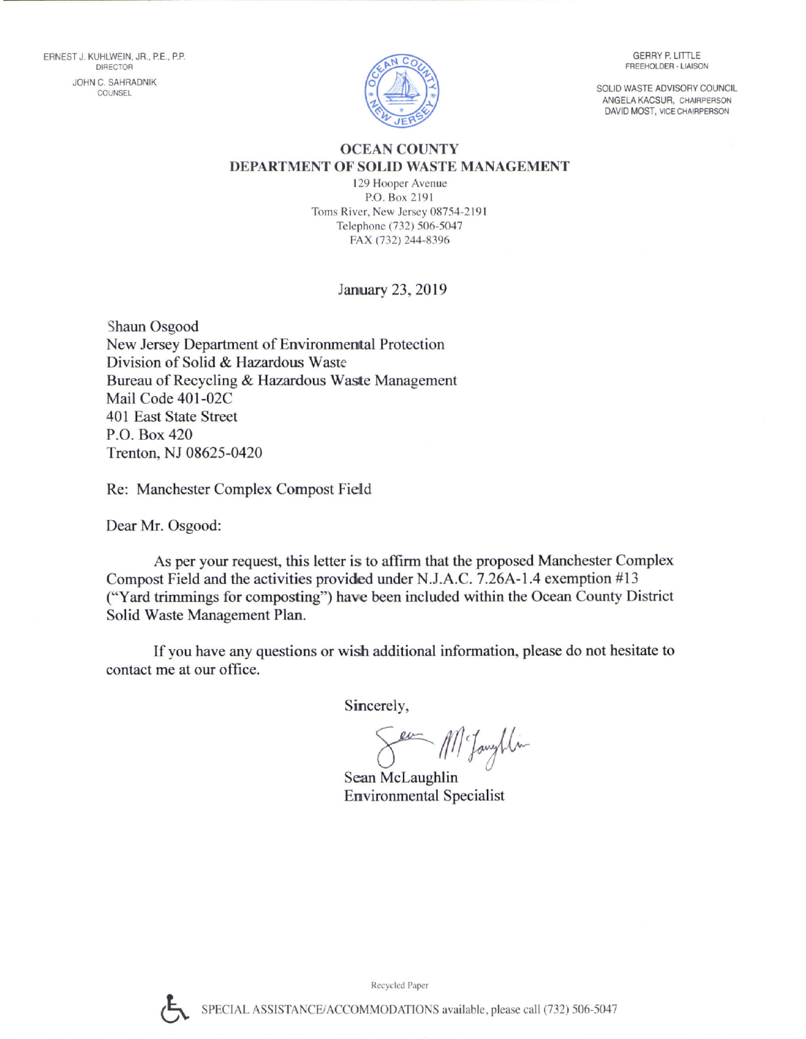

**GERRY P. LITTLE** FREEHOLDER - LIAISON

SOLID WASTE ADVISORY COUNCIL ANGELA KACSUR, CHAIRPERSON DAVID MOST, VICE CHAIRPERSON

## OCEAN COUNTY DEPARTMENT OF SOLID WASTE MANAGEMENT

129 Hooper Avenue P.O. Box 2l9l Toms River, New Jersey 08754-2191 Telephone (732) 506-5047 FAX (732) 244-8396

## January 23, 2019

Shaun Osgood New Jersey Department of Environmental Protection Division of Solid & Hazardous Waste Bureau of Recycling & Hazardous Waste Management Mail Code 401-02C 401 East State Street P.O. Box 420 Trenton, NJ 08625-0420

Re: Manchester Complex Compost Field

Dear Mr. Osgood:

As per your request, this letter is to affirm that the proposed Manchester Complex Compost Field and the activities provided under N.J.A.C. 7.26A-1.4 exemption  $#13$ ("Yard trimmings for composting") have been included within the Ocean County District Solid Waste Management Plan.

If you have any questions or wish additional information, please do not hesitate to contact me at our office.

Sincerely,

Sea M. Janythin

Sean Mclaughlin Environmental Specialist

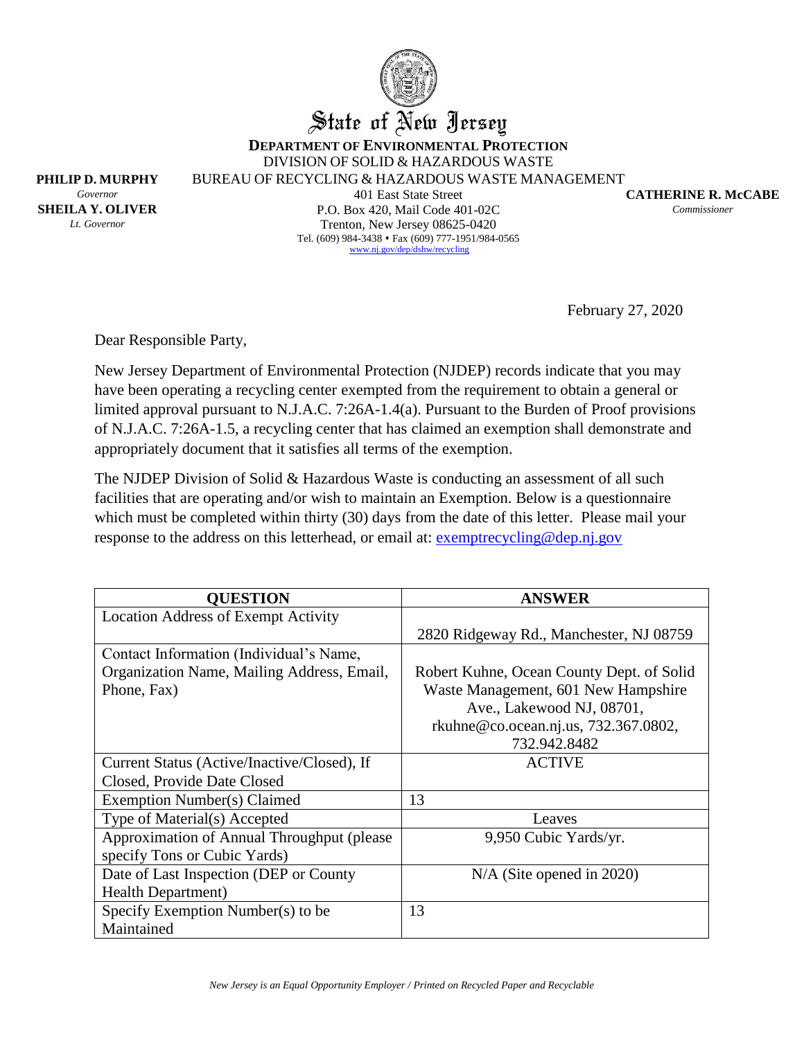

State of New Jersey

**DEPARTMENT OF ENVIRONMENTAL PROTECTION** DIVISION OF SOLID & HAZARDOUS WASTE

BUREAU OF RECYCLING & HAZARDOUS WASTE MANAGEMENT

**PHILIP D. MURPHY** *Governor* **SHEILA Y. OLIVER** *Lt. Governor*

401 East State Street P.O. Box 420, Mail Code 401-02C Trenton, New Jersey 08625-0420 Tel. (609) 984-3438 • Fax (609) 777-1951/984-0565 [www.nj.gov/dep/dshw/recycling](http://www.nj.gov/dep/dshw/recycling)

**CATHERINE R. McCABE** *Commissioner*

February 27, 2020

Dear Responsible Party,

New Jersey Department of Environmental Protection (NJDEP) records indicate that you may have been operating a recycling center exempted from the requirement to obtain a general or limited approval pursuant to N.J.A.C. 7:26A-1.4(a). Pursuant to the Burden of Proof provisions of N.J.A.C. 7:26A-1.5, a recycling center that has claimed an exemption shall demonstrate and appropriately document that it satisfies all terms of the exemption.

The NJDEP Division of Solid & Hazardous Waste is conducting an assessment of all such facilities that are operating and/or wish to maintain an Exemption. Below is a questionnaire which must be completed within thirty (30) days from the date of this letter. Please mail your response to the address on this letterhead, or email at: [exemptrecycling@dep.nj.gov](mailto:exemptrecycling@dep.nj.gov)

| <b>QUESTION</b>                             | <b>ANSWER</b>                             |
|---------------------------------------------|-------------------------------------------|
| <b>Location Address of Exempt Activity</b>  |                                           |
|                                             | 2820 Ridgeway Rd., Manchester, NJ 08759   |
| Contact Information (Individual's Name,     |                                           |
| Organization Name, Mailing Address, Email,  | Robert Kuhne, Ocean County Dept. of Solid |
| Phone, Fax)                                 | Waste Management, 601 New Hampshire       |
|                                             | Ave., Lakewood NJ, 08701,                 |
|                                             | rkuhne@co.ocean.nj.us, 732.367.0802,      |
|                                             | 732.942.8482                              |
| Current Status (Active/Inactive/Closed), If | <b>ACTIVE</b>                             |
| Closed, Provide Date Closed                 |                                           |
| Exemption Number(s) Claimed                 | 13                                        |
| Type of Material(s) Accepted                | Leaves                                    |
| Approximation of Annual Throughput (please) | 9,950 Cubic Yards/yr.                     |
| specify Tons or Cubic Yards)                |                                           |
| Date of Last Inspection (DEP or County      | $N/A$ (Site opened in 2020)               |
| <b>Health Department</b> )                  |                                           |
| Specify Exemption Number(s) to be           | 13                                        |
| Maintained                                  |                                           |